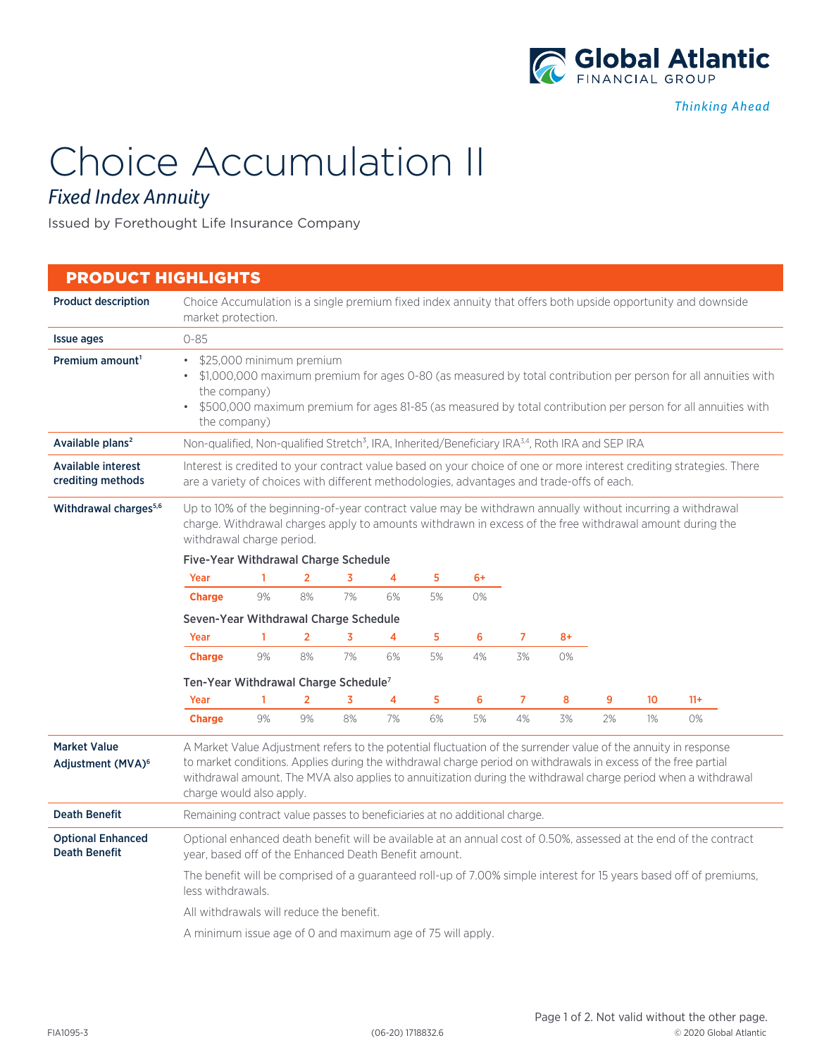

# Choice Accumulation II

## *Fixed Index Annuity*

Issued by Forethought Life Insurance Company

## PRODUCT HIGHLIGHTS Product description Choice Accumulation is a single premium fixed index annuity that offers both upside opportunity and downside market protection. **Issue ages** 0-85 **Premium amount<sup>1</sup>** • \$25,000 minimum premium • \$1,000,000 maximum premium for ages 0-80 (as measured by total contribution per person for all annuities with the company) • \$500,000 maximum premium for ages 81-85 (as measured by total contribution per person for all annuities with the company) Available plans<sup>2</sup> Non-qualified, Non-qualified Stretch<sup>3</sup>, IRA, Inherited/Beneficiary IRA<sup>3,4</sup>, Roth IRA and SEP IRA Available interest crediting methods Interest is credited to your contract value based on your choice of one or more interest crediting strategies. There are a variety of choices with different methodologies, advantages and trade-offs of each. Withdrawal charges<sup>5,6</sup> Up to 10% of the beginning-of-year contract value may be withdrawn annually without incurring a withdrawal charge. Withdrawal charges apply to amounts withdrawn in excess of the free withdrawal amount during the withdrawal charge period. Five-Year Withdrawal Charge Schedule Seven-Year Withdrawal Charge Schedule Ten-Year Withdrawal Charge Schedule7 Market Value Adjustment (MVA)6 A Market Value Adjustment refers to the potential fluctuation of the surrender value of the annuity in response to market conditions. Applies during the withdrawal charge period on withdrawals in excess of the free partial withdrawal amount. The MVA also applies to annuitization during the withdrawal charge period when a withdrawal charge would also apply. Death Benefit Remaining contract value passes to beneficiaries at no additional charge. Optional Enhanced Death Benefit Optional enhanced death benefit will be available at an annual cost of 0.50%, assessed at the end of the contract year, based off of the Enhanced Death Benefit amount. The benefit will be comprised of a guaranteed roll-up of 7.00% simple interest for 15 years based off of premiums, less withdrawals. All withdrawals will reduce the benefit. A minimum issue age of 0 and maximum age of 75 will apply. Year 1 2 3 4 5 6 7 8+ **Charge** 9% 8% 7% 6% 5% 4% 3% 0% Year 1 2 3 4 5 6 7 8 9 10 11+ **Charge** 9% 9% 8% 7% 6% 5% 4% 3% 2% 1% 0% Year 1 2 3 4 5 6+ **Charge** 9% 8% 7% 6% 5% 0%